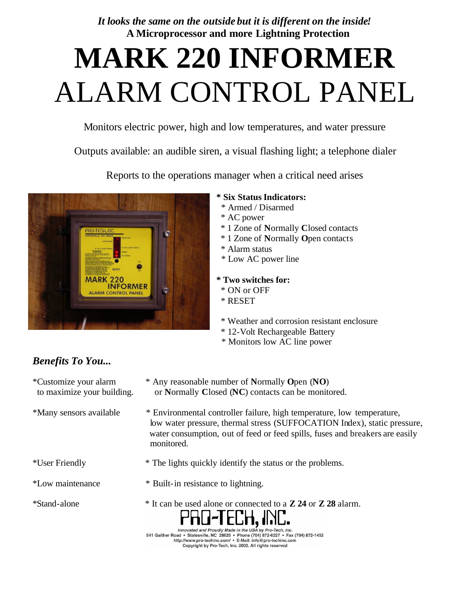*It looks the same on the outside but it is different on the inside!*  **A Microprocessor and more Lightning Protection**

# **MARK 220 INFORMER** ALARM CONTROL PANEL

Monitors electric power, high and low temperatures, and water pressure

Outputs available: an audible siren, a visual flashing light; a telephone dialer

Reports to the operations manager when a critical need arises



#### **\* Six Status Indicators:**

- \* Armed / Disarmed
- \* AC power
- \* 1 Zone of **N**ormally **C**losed contacts
- \* 1 Zone of **N**ormally **O**pen contacts
- \* Alarm status
- \* Low AC power line
- **\* Two switches for:**
	- \* ON or OFF
	- \* RESET
	- \* Weather and corrosion resistant enclosure
	- \* 12-Volt Rechargeable Battery
- \* Monitors low AC line power

## *Benefits To You...*

- 
- \*Customize your alarm \* Any reasonable number of **N**ormally **O**pen (**NO**) to maximize your building. or **N**ormally **C**losed (**NC**) contacts can be monitored.
- \*Many sensors available \* Environmental controller failure, high temperature, low temperature, low water pressure, thermal stress (SUFFOCATION Index), static pressure, water consumption, out of feed or feed spills, fuses and breakers are easily monitored.
- 
- 
- 
- 
- 
- \*User Friendly \* The lights quickly identify the status or the problems.
- \*Low maintenance \* Built-in resistance to lightning.
- \*Stand-alone \* It can be used alone or connected to a **Z 24** or **Z 28** alarm.